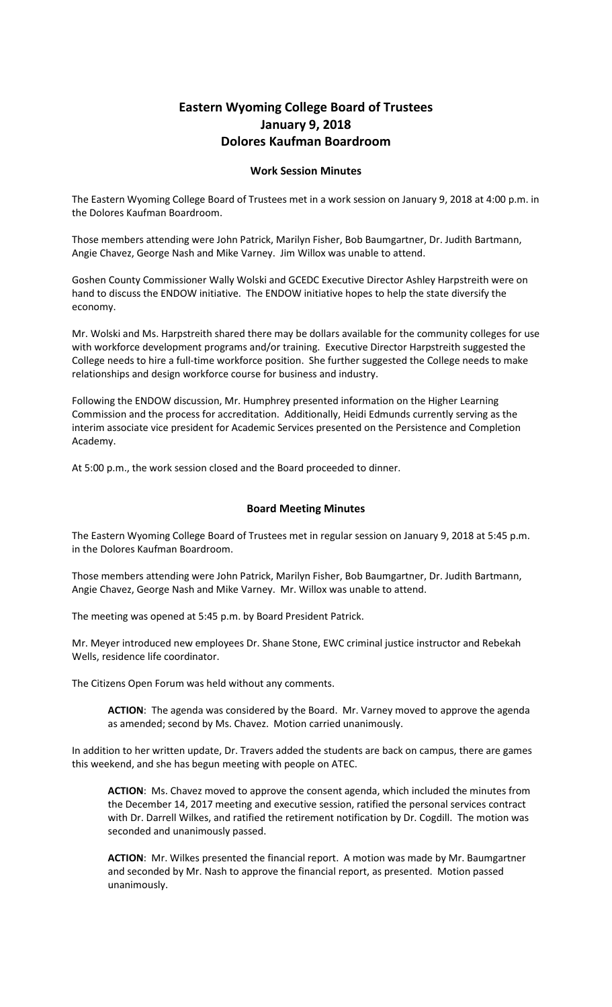## **Eastern Wyoming College Board of Trustees January 9, 2018 Dolores Kaufman Boardroom**

## **Work Session Minutes**

The Eastern Wyoming College Board of Trustees met in a work session on January 9, 2018 at 4:00 p.m. in the Dolores Kaufman Boardroom.

Those members attending were John Patrick, Marilyn Fisher, Bob Baumgartner, Dr. Judith Bartmann, Angie Chavez, George Nash and Mike Varney. Jim Willox was unable to attend.

Goshen County Commissioner Wally Wolski and GCEDC Executive Director Ashley Harpstreith were on hand to discuss the ENDOW initiative. The ENDOW initiative hopes to help the state diversify the economy.

Mr. Wolski and Ms. Harpstreith shared there may be dollars available for the community colleges for use with workforce development programs and/or training. Executive Director Harpstreith suggested the College needs to hire a full-time workforce position. She further suggested the College needs to make relationships and design workforce course for business and industry.

Following the ENDOW discussion, Mr. Humphrey presented information on the Higher Learning Commission and the process for accreditation. Additionally, Heidi Edmunds currently serving as the interim associate vice president for Academic Services presented on the Persistence and Completion Academy.

At 5:00 p.m., the work session closed and the Board proceeded to dinner.

## **Board Meeting Minutes**

The Eastern Wyoming College Board of Trustees met in regular session on January 9, 2018 at 5:45 p.m. in the Dolores Kaufman Boardroom.

Those members attending were John Patrick, Marilyn Fisher, Bob Baumgartner, Dr. Judith Bartmann, Angie Chavez, George Nash and Mike Varney. Mr. Willox was unable to attend.

The meeting was opened at 5:45 p.m. by Board President Patrick.

Mr. Meyer introduced new employees Dr. Shane Stone, EWC criminal justice instructor and Rebekah Wells, residence life coordinator.

The Citizens Open Forum was held without any comments.

**ACTION**: The agenda was considered by the Board. Mr. Varney moved to approve the agenda as amended; second by Ms. Chavez. Motion carried unanimously.

In addition to her written update, Dr. Travers added the students are back on campus, there are games this weekend, and she has begun meeting with people on ATEC.

**ACTION**: Ms. Chavez moved to approve the consent agenda, which included the minutes from the December 14, 2017 meeting and executive session, ratified the personal services contract with Dr. Darrell Wilkes, and ratified the retirement notification by Dr. Cogdill. The motion was seconded and unanimously passed.

**ACTION**: Mr. Wilkes presented the financial report. A motion was made by Mr. Baumgartner and seconded by Mr. Nash to approve the financial report, as presented. Motion passed unanimously.